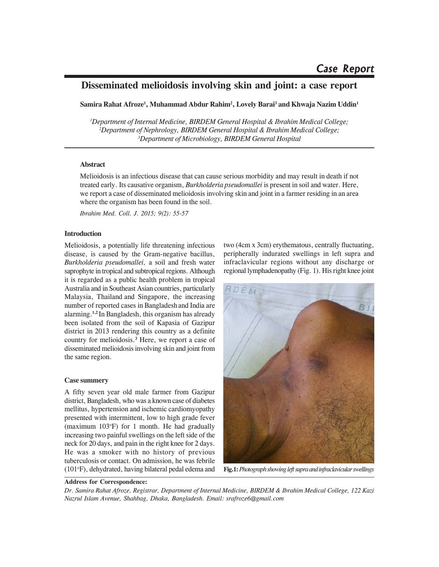# **Disseminated melioidosis involving skin and joint: a case report**

**Samira Rahat Afroze1 , Muhammad Abdur Rahim2 , Lovely Barai3 and Khwaja Nazim Uddin1**

*1 Department of Internal Medicine, BIRDEM General Hospital & Ibrahim Medical College; 2 Department of Nephrology, BIRDEM General Hospital & Ibrahim Medical College; 3 Department of Microbiology, BIRDEM General Hospital*

# **Abstract**

Melioidosis is an infectious disease that can cause serious morbidity and may result in death if not treated early. Its causative organism, *Burkholderia pseudomallei* is present in soil and water. Here, we report a case of disseminated melioidosis involving skin and joint in a farmer residing in an area where the organism has been found in the soil.

*Ibrahim Med. Coll. J. 2015; 9(2): 55-57*

# **Introduction**

Melioidosis, a potentially life threatening infectious disease, is caused by the Gram-negative bacillus, *Burkholderia pseudomallei,* a soil and fresh water saprophyte in tropical and subtropical regions. Although it is regarded as a public health problem in tropical Australia and in Southeast Asian countries, particularly Malaysia, Thailand and Singapore, the increasing number of reported cases in Bangladesh and India are alarming.**1,2** In Bangladesh, this organism has already been isolated from the soil of Kapasia of Gazipur district in 2013 rendering this country as a definite country for melioidosis.**<sup>3</sup>** Here, we report a case of disseminated melioidosis involving skin and joint from the same region.

## **Case summery**

A fifty seven year old male farmer from Gazipur district, Bangladesh, who was a known case of diabetes mellitus, hypertension and ischemic cardiomyopathy presented with intermittent, low to high grade fever (maximum 103o F) for 1 month. He had gradually increasing two painful swellings on the left side of the neck for 20 days, and pain in the right knee for 2 days. He was a smoker with no history of previous tuberculosis or contact. On admission, he was febrile (101°F), dehydrated, having bilateral pedal edema and

two (4cm x 3cm) erythematous, centrally fluctuating, peripherally indurated swellings in left supra and infraclavicular regions without any discharge or regional lymphadenopathy (Fig. 1). His right knee joint



**Fig.1:***Photograph showing left supra and infraclavicular swellings*

## **Address for Correspondence:**

*Dr. Samira Rahat Afroze, Registrar, Department of Internal Medicine, BIRDEM & Ibrahim Medical College, 122 Kazi Nazrul Islam Avenue, Shahbag, Dhaka, Bangladesh. Email: srafroze6@gmail.com*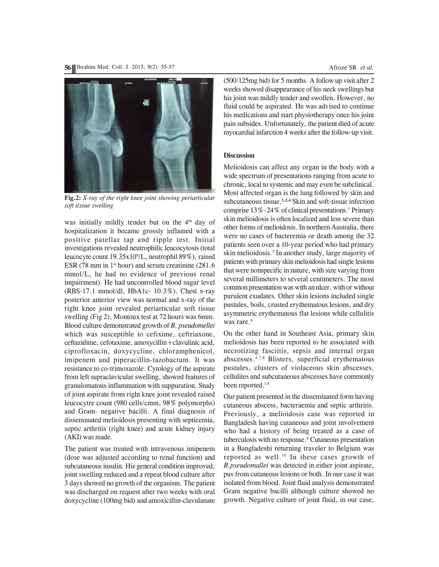

**Fig.2:** *X-ray of the right knee joint showing periarticular soft tissue swelling*

was initially mildly tender but on the  $4<sup>th</sup>$  day of hospitalization it became grossly inflamed with a positive patellar tap and ripple test. Initial investigations revealed neutrophilic leucocytosis (total leucocyte count 19.35x109 /L, neutrophil 89%), raised ESR (78 mm in  $1<sup>st</sup>$  hour) and serum creatinine (281.6) mmol/L, he had no evidence of previous renal impairment). He had uncontrolled blood sugar level (RBS-17.1 mmol/dl, HbA1c- 10.3%). Chest x-ray posterior anterior view was normal and x-ray of the right knee joint revealed periarticular soft tissue swelling (Fig 2), Montoux test at 72 hours was 6mm. Blood culture demonstrated growth of *B. pseudomellei* which was susceptible to cefixime, ceftriaxone, ceftazidime, cefotaxime, amoxycillin+clavulinic acid, ciprofloxacin, doxycycline, chloramphenicol, imipenem and piperacillin-tazobactum. It was resistance to co-trimoxazole. Cytology of the aspirate from left supraclavicular swelling, showed features of granulomatous inflammation with suppuration. Study of joint aspirate from right knee joint revealed raised leucocytre count (980 cells/cmm, 98% polymorphs) and Gram- negative bacilli. A final diagnosis of disseminated melioidosis presenting with septicemia, septic arthritis (right knee) and acute kidney injury (AKI) was made.

The patient was treated with intravenous imipenem (dose was adjusted according to renal function) and subcutaneous insulin. His general condition improved, joint swelling reduced and a repeat blood culture after 3 days showed no growth of the organism. The patient was discharged on request after two weeks with oral doxycycline (100mg bid) and amoxicillin-clavulanate (500/125mg bid) for 5 months. A follow up visit after 2 weeks showed disappearance of his neck swellings but his joint was mildly tender and swollen. However, no fluid could be aspirated. He was advised to continue his medications and start physiotherapy once his joint pain subsides. Unfortunately, the patient died of acute myocardial infarction 4 weeks after the follow-up visit.

#### **Discussion**

Melioidosis can affect any organ in the body with a wide spectrum of presentations ranging from acute to chronic, local to systemic and may even be subclinical. Most affected organ is the lung followed by skin and subcutaneous tissue.**1,2,4** Skin and soft-tissue infection comprise 13%-24% of clinical presentations.<sup>1</sup> Primary skin melioidosis is often localized and less severe than other forms of melioidosis. In northern Australia, there were no cases of bacteremia or death among the 32 patients seen over a 10-year period who had primary skin melioidosis.<sup>5</sup> In another study, large majority of patients with primary skin melioidosis had single lesions that were nonspecific in nature, with size varying from several millimeters to several centimeters. The most common presentation was with an ulcer, with or without purulent exudates. Other skin lesions included single pustules, boils, crusted erythematous lesions, and dry asymmetric erythematous flat lesions while cellulitis was rare.<sup>6</sup>

On the other hand in Southeast Asia, primary skin melioidosis has been reported to be associated with necrotizing fasciitis, sepsis and internal organ abscesses.4,7,8 Blisters, superficial erythematous pustules, clusters of violaceous skin abscesses, cellulites and subcutaneous abscesses have commonly been reported.<sup>1,4</sup>

Our patient presented in the disseminated form having cutaneous abscess, bacteraemia and septic arthritis. Previously, a melioidosis case was reported in Bangladesh having cutaneous and joint involvement who had a history of being treated as a case of tuberculosis with no response.9 Cutaneous presentation in a Bangladeshi returning traveler to Belgium was reported as well.<sup>10</sup> In these cases growth of *B.pseudomallei* was detected in either joint aspirate, pus from cutaneous lesions or both. In our case it was isolated from blood. Joint fluid analysis demonstrated Gram negative bacilli although culture showed no growth. Negative culture of joint fluid, in our case,